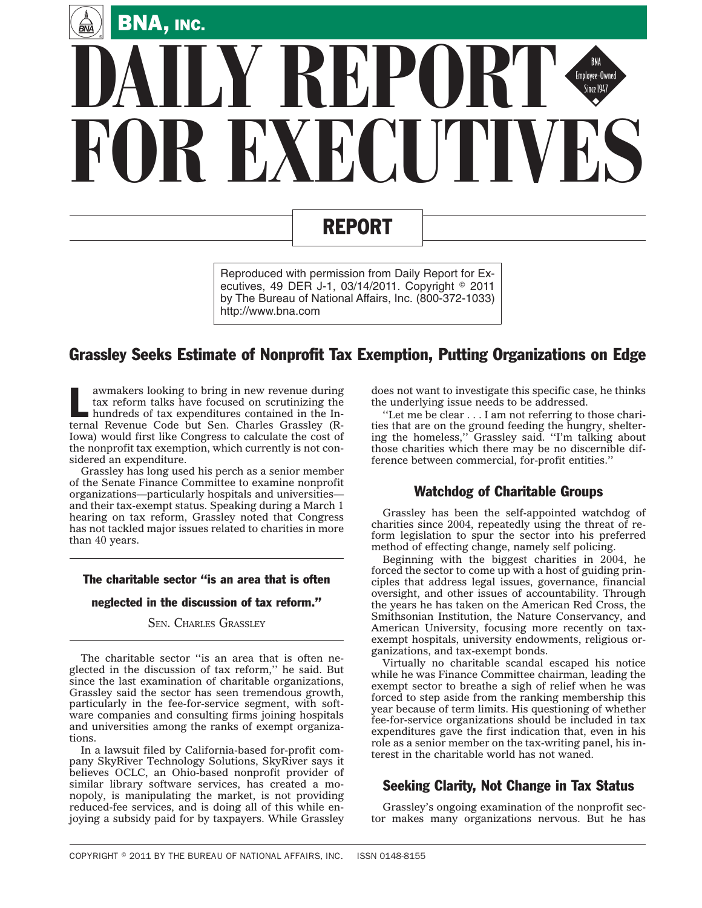

# REPORT

Reproduced with permission from Daily Report for Executives, 49 DER J-1, 03/14/2011. Copyright © 2011 by The Bureau of National Affairs, Inc. (800-372-1033) http://www.bna.com

# Grassley Seeks Estimate of Nonprofit Tax Exemption, Putting Organizations on Edge

awmakers looking to bring in new revenue during tax reform talks have focused on scrutinizing the hundreds of tax expenditures contained in the Internal Revenue Code but Sen. Charles Grassley (R-Iowa) would first like Congress to calculate the cost of the nonprofit tax exemption, which currently is not considered an expenditure.

Grassley has long used his perch as a senior member of the Senate Finance Committee to examine nonprofit organizations—particularly hospitals and universities and their tax-exempt status. Speaking during a March 1 hearing on tax reform, Grassley noted that Congress has not tackled major issues related to charities in more than 40 years.

#### The charitable sector "is an area that is often

#### neglected in the discussion of tax reform.''

SEN. CHARLES GRASSLEY

The charitable sector "is an area that is often neglected in the discussion of tax reform,'' he said. But since the last examination of charitable organizations, Grassley said the sector has seen tremendous growth, particularly in the fee-for-service segment, with software companies and consulting firms joining hospitals and universities among the ranks of exempt organizations.

In a lawsuit filed by California-based for-profit company SkyRiver Technology Solutions, SkyRiver says it believes OCLC, an Ohio-based nonprofit provider of similar library software services, has created a monopoly, is manipulating the market, is not providing reduced-fee services, and is doing all of this while enjoying a subsidy paid for by taxpayers. While Grassley does not want to investigate this specific case, he thinks the underlying issue needs to be addressed.

''Let me be clear . . . I am not referring to those charities that are on the ground feeding the hungry, sheltering the homeless,'' Grassley said. ''I'm talking about those charities which there may be no discernible difference between commercial, for-profit entities.''

# Watchdog of Charitable Groups

Grassley has been the self-appointed watchdog of charities since 2004, repeatedly using the threat of reform legislation to spur the sector into his preferred method of effecting change, namely self policing.

Beginning with the biggest charities in 2004, he forced the sector to come up with a host of guiding principles that address legal issues, governance, financial oversight, and other issues of accountability. Through the years he has taken on the American Red Cross, the Smithsonian Institution, the Nature Conservancy, and American University, focusing more recently on taxexempt hospitals, university endowments, religious organizations, and tax-exempt bonds.

Virtually no charitable scandal escaped his notice while he was Finance Committee chairman, leading the exempt sector to breathe a sigh of relief when he was forced to step aside from the ranking membership this year because of term limits. His questioning of whether fee-for-service organizations should be included in tax expenditures gave the first indication that, even in his role as a senior member on the tax-writing panel, his interest in the charitable world has not waned.

# Seeking Clarity, Not Change in Tax Status

Grassley's ongoing examination of the nonprofit sector makes many organizations nervous. But he has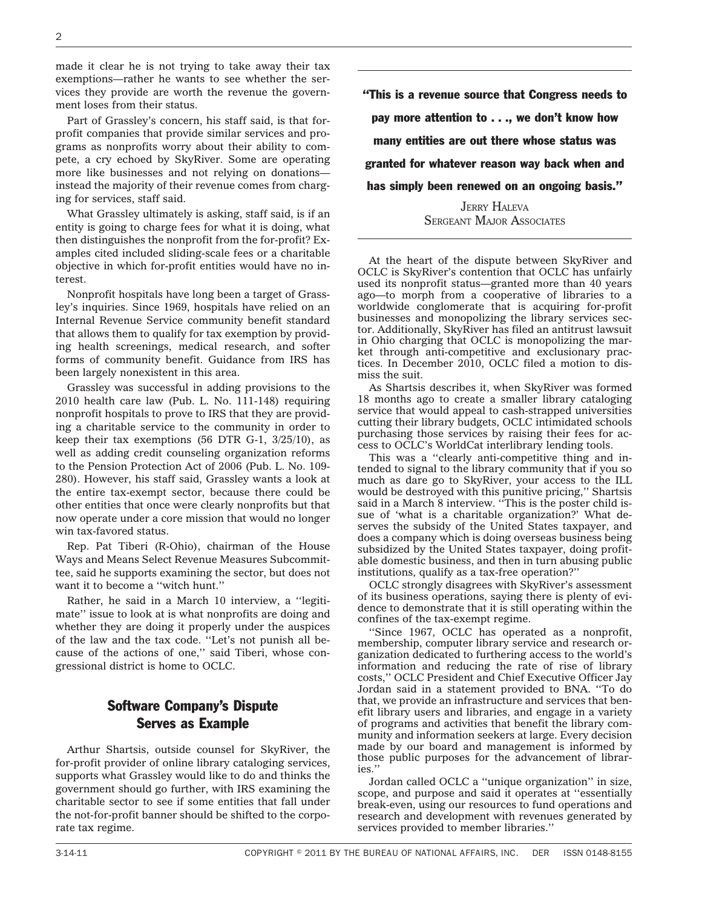made it clear he is not trying to take away their tax exemptions—rather he wants to see whether the services they provide are worth the revenue the government loses from their status.

Part of Grassley's concern, his staff said, is that forprofit companies that provide similar services and programs as nonprofits worry about their ability to compete, a cry echoed by SkyRiver. Some are operating more like businesses and not relying on donations instead the majority of their revenue comes from charging for services, staff said.

What Grassley ultimately is asking, staff said, is if an entity is going to charge fees for what it is doing, what then distinguishes the nonprofit from the for-profit? Examples cited included sliding-scale fees or a charitable objective in which for-profit entities would have no interest.

Nonprofit hospitals have long been a target of Grassley's inquiries. Since 1969, hospitals have relied on an Internal Revenue Service community benefit standard that allows them to qualify for tax exemption by providing health screenings, medical research, and softer forms of community benefit. Guidance from IRS has been largely nonexistent in this area.

Grassley was successful in adding provisions to the 2010 health care law (Pub. L. No. 111-148) requiring nonprofit hospitals to prove to IRS that they are providing a charitable service to the community in order to keep their tax exemptions (56 DTR G-1, 3/25/10), as well as adding credit counseling organization reforms to the Pension Protection Act of 2006 (Pub. L. No. 109- 280). However, his staff said, Grassley wants a look at the entire tax-exempt sector, because there could be other entities that once were clearly nonprofits but that now operate under a core mission that would no longer win tax-favored status.

Rep. Pat Tiberi (R-Ohio), chairman of the House Ways and Means Select Revenue Measures Subcommittee, said he supports examining the sector, but does not want it to become a ''witch hunt.''

Rather, he said in a March 10 interview, a ''legitimate'' issue to look at is what nonprofits are doing and whether they are doing it properly under the auspices of the law and the tax code. ''Let's not punish all because of the actions of one,'' said Tiberi, whose congressional district is home to OCLC.

# Software Company's Dispute Serves as Example

Arthur Shartsis, outside counsel for SkyRiver, the for-profit provider of online library cataloging services, supports what Grassley would like to do and thinks the government should go further, with IRS examining the charitable sector to see if some entities that fall under the not-for-profit banner should be shifted to the corporate tax regime.

''This is a revenue source that Congress needs to pay more attention to . . ., we don't know how many entities are out there whose status was granted for whatever reason way back when and has simply been renewed on an ongoing basis.''

> JERRY HALEVA SERGEANT MAJOR ASSOCIATES

At the heart of the dispute between SkyRiver and OCLC is SkyRiver's contention that OCLC has unfairly used its nonprofit status—granted more than 40 years ago—to morph from a cooperative of libraries to a worldwide conglomerate that is acquiring for-profit businesses and monopolizing the library services sector. Additionally, SkyRiver has filed an antitrust lawsuit in Ohio charging that OCLC is monopolizing the market through anti-competitive and exclusionary practices. In December 2010, OCLC filed a motion to dismiss the suit.

As Shartsis describes it, when SkyRiver was formed 18 months ago to create a smaller library cataloging service that would appeal to cash-strapped universities cutting their library budgets, OCLC intimidated schools purchasing those services by raising their fees for access to OCLC's WorldCat interlibrary lending tools.

This was a ''clearly anti-competitive thing and intended to signal to the library community that if you so much as dare go to SkyRiver, your access to the ILL would be destroyed with this punitive pricing,'' Shartsis said in a March 8 interview. "This is the poster child issue of 'what is a charitable organization?' What deserves the subsidy of the United States taxpayer, and does a company which is doing overseas business being subsidized by the United States taxpayer, doing profitable domestic business, and then in turn abusing public institutions, qualify as a tax-free operation?''

OCLC strongly disagrees with SkyRiver's assessment of its business operations, saying there is plenty of evidence to demonstrate that it is still operating within the confines of the tax-exempt regime.

''Since 1967, OCLC has operated as a nonprofit, membership, computer library service and research organization dedicated to furthering access to the world's information and reducing the rate of rise of library costs,'' OCLC President and Chief Executive Officer Jay Jordan said in a statement provided to BNA. ''To do that, we provide an infrastructure and services that benefit library users and libraries, and engage in a variety of programs and activities that benefit the library community and information seekers at large. Every decision made by our board and management is informed by those public purposes for the advancement of libraries.''

Jordan called OCLC a ''unique organization'' in size, scope, and purpose and said it operates at ''essentially break-even, using our resources to fund operations and research and development with revenues generated by services provided to member libraries.''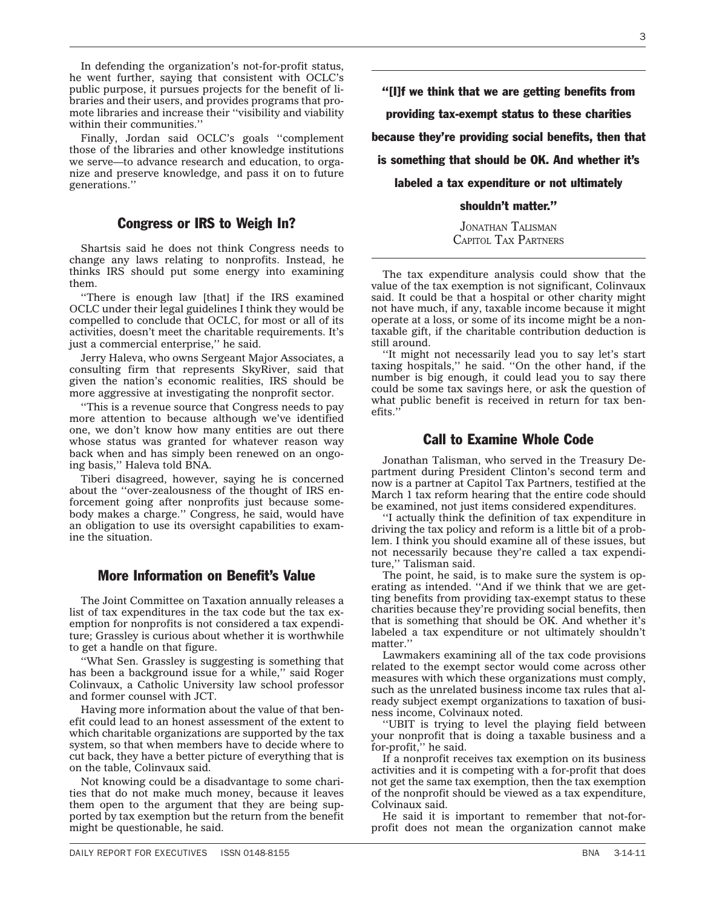In defending the organization's not-for-profit status, he went further, saying that consistent with OCLC's public purpose, it pursues projects for the benefit of libraries and their users, and provides programs that promote libraries and increase their ''visibility and viability within their communities.''

Finally, Jordan said OCLC's goals ''complement those of the libraries and other knowledge institutions we serve—to advance research and education, to organize and preserve knowledge, and pass it on to future generations.''

### Congress or IRS to Weigh In?

Shartsis said he does not think Congress needs to change any laws relating to nonprofits. Instead, he thinks IRS should put some energy into examining them.

''There is enough law [that] if the IRS examined OCLC under their legal guidelines I think they would be compelled to conclude that OCLC, for most or all of its activities, doesn't meet the charitable requirements. It's just a commercial enterprise,'' he said.

Jerry Haleva, who owns Sergeant Major Associates, a consulting firm that represents SkyRiver, said that given the nation's economic realities, IRS should be more aggressive at investigating the nonprofit sector.

''This is a revenue source that Congress needs to pay more attention to because although we've identified one, we don't know how many entities are out there whose status was granted for whatever reason way back when and has simply been renewed on an ongoing basis,'' Haleva told BNA.

Tiberi disagreed, however, saying he is concerned about the ''over-zealousness of the thought of IRS enforcement going after nonprofits just because somebody makes a charge.'' Congress, he said, would have an obligation to use its oversight capabilities to examine the situation.

#### More Information on Benefit's Value

The Joint Committee on Taxation annually releases a list of tax expenditures in the tax code but the tax exemption for nonprofits is not considered a tax expenditure; Grassley is curious about whether it is worthwhile to get a handle on that figure.

''What Sen. Grassley is suggesting is something that has been a background issue for a while,'' said Roger Colinvaux, a Catholic University law school professor and former counsel with JCT.

Having more information about the value of that benefit could lead to an honest assessment of the extent to which charitable organizations are supported by the tax system, so that when members have to decide where to cut back, they have a better picture of everything that is on the table, Colinvaux said.

Not knowing could be a disadvantage to some charities that do not make much money, because it leaves them open to the argument that they are being supported by tax exemption but the return from the benefit might be questionable, he said.

''[I]f we think that we are getting benefits from providing tax-exempt status to these charities because they're providing social benefits, then that is something that should be OK. And whether it's

labeled a tax expenditure or not ultimately

#### shouldn't matter.''

JONATHAN TALISMAN CAPITOL TAX PARTNERS

The tax expenditure analysis could show that the value of the tax exemption is not significant, Colinvaux said. It could be that a hospital or other charity might not have much, if any, taxable income because it might operate at a loss, or some of its income might be a nontaxable gift, if the charitable contribution deduction is still around.

''It might not necessarily lead you to say let's start taxing hospitals,'' he said. ''On the other hand, if the number is big enough, it could lead you to say there could be some tax savings here, or ask the question of what public benefit is received in return for tax benefits.''

#### Call to Examine Whole Code

Jonathan Talisman, who served in the Treasury Department during President Clinton's second term and now is a partner at Capitol Tax Partners, testified at the March 1 tax reform hearing that the entire code should be examined, not just items considered expenditures.

''I actually think the definition of tax expenditure in driving the tax policy and reform is a little bit of a problem. I think you should examine all of these issues, but not necessarily because they're called a tax expenditure,'' Talisman said.

The point, he said, is to make sure the system is operating as intended. ''And if we think that we are getting benefits from providing tax-exempt status to these charities because they're providing social benefits, then that is something that should be OK. And whether it's labeled a tax expenditure or not ultimately shouldn't matter.''

Lawmakers examining all of the tax code provisions related to the exempt sector would come across other measures with which these organizations must comply, such as the unrelated business income tax rules that already subject exempt organizations to taxation of business income, Colvinaux noted.

''UBIT is trying to level the playing field between your nonprofit that is doing a taxable business and a for-profit,'' he said.

If a nonprofit receives tax exemption on its business activities and it is competing with a for-profit that does not get the same tax exemption, then the tax exemption of the nonprofit should be viewed as a tax expenditure, Colvinaux said.

He said it is important to remember that not-forprofit does not mean the organization cannot make